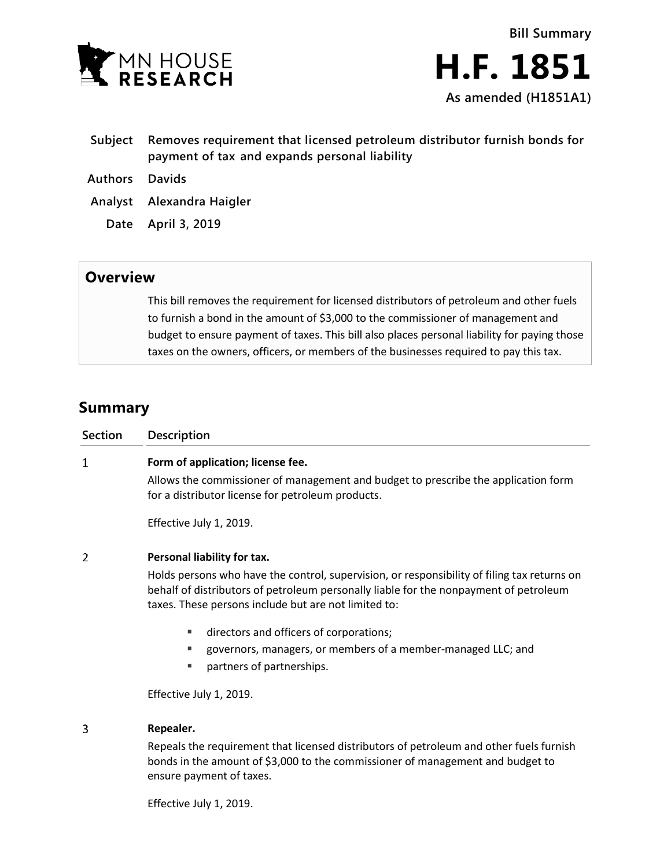

- **Subject Removes requirement that licensed petroleum distributor furnish bonds for payment of tax and expands personal liability**
- **Authors Davids**
- **Analyst Alexandra Haigler**
	- **Date April 3, 2019**

## **Overview**

This bill removes the requirement for licensed distributors of petroleum and other fuels to furnish a bond in the amount of \$3,000 to the commissioner of management and budget to ensure payment of taxes. This bill also places personal liability for paying those taxes on the owners, officers, or members of the businesses required to pay this tax.

## **Summary**

| Section        | Description                                                                                                                                                                                                                                                                 |
|----------------|-----------------------------------------------------------------------------------------------------------------------------------------------------------------------------------------------------------------------------------------------------------------------------|
| 1              | Form of application; license fee.<br>Allows the commissioner of management and budget to prescribe the application form<br>for a distributor license for petroleum products.<br>Effective July 1, 2019.                                                                     |
| $\overline{2}$ | Personal liability for tax.<br>Holds persons who have the control, supervision, or responsibility of filing tax returns on<br>behalf of distributors of petroleum personally liable for the nonpayment of petroleum<br>taxes. These persons include but are not limited to: |
|                | directors and officers of corporations;<br>٠<br>governors, managers, or members of a member-managed LLC; and<br>٠<br>partners of partnerships.<br>٠                                                                                                                         |
|                | Effective July 1, 2019.                                                                                                                                                                                                                                                     |
| 3              | Repealer.<br>Repeals the requirement that licensed distributors of petroleum and other fuels furnish<br>bonds in the amount of \$3,000 to the commissioner of management and budget to<br>ensure payment of taxes.                                                          |

Effective July 1, 2019.